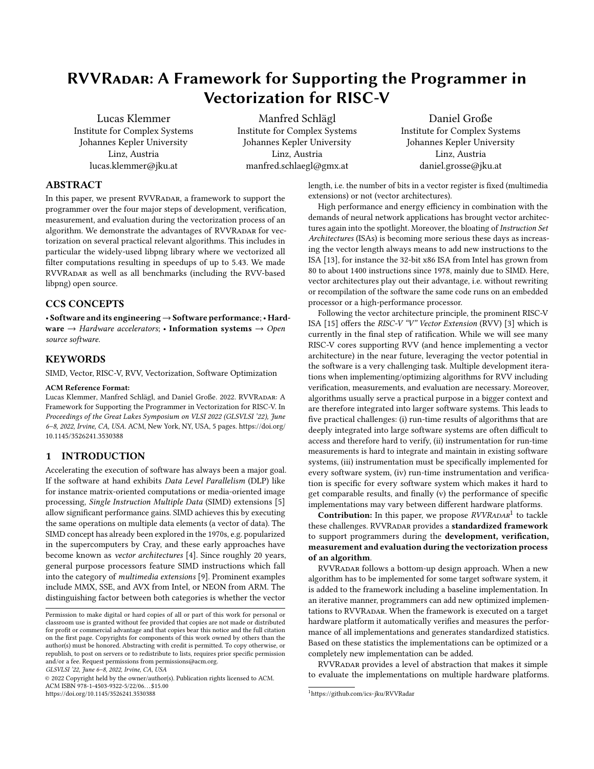# RVVRadar: A Framework for Supporting the Programmer in Vectorization for RISC-V

Lucas Klemmer Institute for Complex Systems Johannes Kepler University Linz, Austria lucas.klemmer@jku.at

Manfred Schlägl Institute for Complex Systems Johannes Kepler University Linz, Austria manfred.schlaegl@gmx.at

Daniel Große Institute for Complex Systems Johannes Kepler University Linz, Austria daniel.grosse@jku.at

# ABSTRACT

In this paper, we present RVVRADAR, a framework to support the programmer over the four major steps of development, verification, measurement, and evaluation during the vectorization process of an algorithm. We demonstrate the advantages of RVVRADAR for vectorization on several practical relevant algorithms. This includes in particular the widely-used libpng library where we vectorized all filter computations resulting in speedups of up to 5.43. We made RVVRadar as well as all benchmarks (including the RVV-based libpng) open source.

# CCS CONCEPTS

• Software and its engineering→Software performance;• Hardware  $\rightarrow$  Hardware accelerators; • Information systems  $\rightarrow$  Open source software.

# **KEYWORDS**

SIMD, Vector, RISC-V, RVV, Vectorization, Software Optimization

#### ACM Reference Format:

Lucas Klemmer, Manfred Schlägl, and Daniel Große. 2022. RVVRADAR: A Framework for Supporting the Programmer in Vectorization for RISC-V. In Proceedings of the Great Lakes Symposium on VLSI 2022 (GLSVLSI '22), June 6–8, 2022, Irvine, CA, USA. ACM, New York, NY, USA, [5](#page-4-0) pages. [https://doi.org/](https://doi.org/10.1145/3526241.3530388) [10.1145/3526241.3530388](https://doi.org/10.1145/3526241.3530388)

# 1 INTRODUCTION

Accelerating the execution of software has always been a major goal. If the software at hand exhibits Data Level Parallelism (DLP) like for instance matrix-oriented computations or media-oriented image processing, Single Instruction Multiple Data (SIMD) extensions [\[5\]](#page-4-1) allow significant performance gains. SIMD achieves this by executing the same operations on multiple data elements (a vector of data). The SIMD concept has already been explored in the 1970s, e.g. popularized in the supercomputers by Cray, and these early approaches have become known as vector architectures [\[4\]](#page-4-2). Since roughly 20 years, general purpose processors feature SIMD instructions which fall into the category of multimedia extensions [\[9\]](#page-4-3). Prominent examples include MMX, SSE, and AVX from Intel, or NEON from ARM. The distinguishing factor between both categories is whether the vector

GLSVLSI '22, June 6–8, 2022, Irvine, CA, USA

© 2022 Copyright held by the owner/author(s). Publication rights licensed to ACM.

ACM ISBN 978-1-4503-9322-5/22/06. . . \$15.00

<https://doi.org/10.1145/3526241.3530388>

length, i.e. the number of bits in a vector register is fixed (multimedia extensions) or not (vector architectures).

High performance and energy efficiency in combination with the demands of neural network applications has brought vector architectures again into the spotlight. Moreover, the bloating of Instruction Set Architectures (ISAs) is becoming more serious these days as increasing the vector length always means to add new instructions to the ISA [\[13\]](#page-4-4), for instance the 32-bit x86 ISA from Intel has grown from 80 to about 1400 instructions since 1978, mainly due to SIMD. Here, vector architectures play out their advantage, i.e. without rewriting or recompilation of the software the same code runs on an embedded processor or a high-performance processor.

Following the vector architecture principle, the prominent RISC-V ISA [\[15\]](#page-4-5) offers the RISC-V "V" Vector Extension (RVV) [\[3\]](#page-4-6) which is currently in the final step of ratification. While we will see many RISC-V cores supporting RVV (and hence implementing a vector architecture) in the near future, leveraging the vector potential in the software is a very challenging task. Multiple development iterations when implementing/optimizing algorithms for RVV including verification, measurements, and evaluation are necessary. Moreover, algorithms usually serve a practical purpose in a bigger context and are therefore integrated into larger software systems. This leads to five practical challenges: (i) run-time results of algorithms that are deeply integrated into large software systems are often difficult to access and therefore hard to verify, (ii) instrumentation for run-time measurements is hard to integrate and maintain in existing software systems, (iii) instrumentation must be specifically implemented for every software system, (iv) run-time instrumentation and verification is specific for every software system which makes it hard to get comparable results, and finally (v) the performance of specific implementations may vary between different hardware platforms.

**Contribution:** In this paper, we propose  $RVVRADAR<sup>1</sup>$  $RVVRADAR<sup>1</sup>$  $RVVRADAR<sup>1</sup>$  to tackle these challenges. RVVRADAR provides a standardized framework to support programmers during the development, verification, measurement and evaluation during the vectorization process of an algorithm.

RVVRADAR follows a bottom-up design approach. When a new algorithm has to be implemented for some target software system, it is added to the framework including a baseline implementation. In an iterative manner, programmers can add new optimized implementations to RVVRADAR. When the framework is executed on a target hardware platform it automatically verifies and measures the performance of all implementations and generates standardized statistics. Based on these statistics the implementations can be optimized or a completely new implementation can be added.

RVVRadar provides a level of abstraction that makes it simple to evaluate the implementations on multiple hardware platforms.

Permission to make digital or hard copies of all or part of this work for personal or classroom use is granted without fee provided that copies are not made or distributed for profit or commercial advantage and that copies bear this notice and the full citation on the first page. Copyrights for components of this work owned by others than the author(s) must be honored. Abstracting with credit is permitted. To copy otherwise, or republish, to post on servers or to redistribute to lists, requires prior specific permission and/or a fee. Request permissions from permissions@acm.org.

<span id="page-0-0"></span> $^{\rm 1}$ <https://github.com/ics-jku/RVVRadar>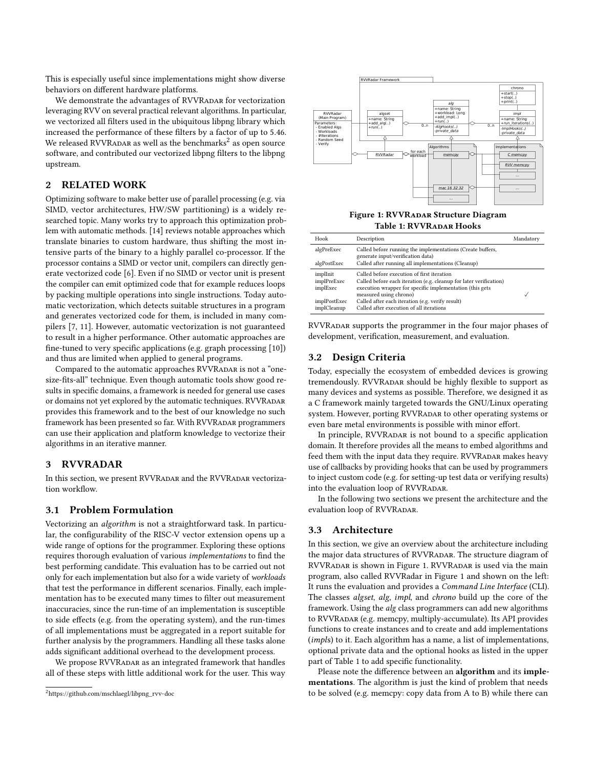This is especially useful since implementations might show diverse behaviors on different hardware platforms.

We demonstrate the advantages of RVVRADAR for vectorization leveraging RVV on several practical relevant algorithms. In particular, we vectorized all filters used in the ubiquitous libpng library which increased the performance of these filters by a factor of up to 5.46. We released RVVRADAR as well as the benchmarks $^2$  $^2$  as open source software, and contributed our vectorized libpng filters to the libpng upstream.

## 2 RELATED WORK

Optimizing software to make better use of parallel processing (e.g. via SIMD, vector architectures, HW/SW partitioning) is a widely researched topic. Many works try to approach this optimization problem with automatic methods. [\[14\]](#page-4-7) reviews notable approaches which translate binaries to custom hardware, thus shifting the most intensive parts of the binary to a highly parallel co-processor. If the processor contains a SIMD or vector unit, compilers can directly generate vectorized code [\[6\]](#page-4-8). Even if no SIMD or vector unit is present the compiler can emit optimized code that for example reduces loops by packing multiple operations into single instructions. Today automatic vectorization, which detects suitable structures in a program and generates vectorized code for them, is included in many compilers [\[7,](#page-4-9) [11\]](#page-4-10). However, automatic vectorization is not guaranteed to result in a higher performance. Other automatic approaches are fine-tuned to very specific applications (e.g. graph processing [\[10\]](#page-4-11)) and thus are limited when applied to general programs.

Compared to the automatic approaches RVVRADAR is not a "onesize-fits-all" technique. Even though automatic tools show good results in specific domains, a framework is needed for general use cases or domains not yet explored by the automatic techniques. RVVRADAR provides this framework and to the best of our knowledge no such framework has been presented so far. With RVVRADAR programmers can use their application and platform knowledge to vectorize their algorithms in an iterative manner.

# 3 RVVRADAR

In this section, we present RVVRADAR and the RVVRADAR vectorization workflow.

## 3.1 Problem Formulation

Vectorizing an algorithm is not a straightforward task. In particular, the configurability of the RISC-V vector extension opens up a wide range of options for the programmer. Exploring these options requires thorough evaluation of various implementations to find the best performing candidate. This evaluation has to be carried out not only for each implementation but also for a wide variety of workloads that test the performance in different scenarios. Finally, each implementation has to be executed many times to filter out measurement inaccuracies, since the run-time of an implementation is susceptible to side effects (e.g. from the operating system), and the run-times of all implementations must be aggregated in a report suitable for further analysis by the programmers. Handling all these tasks alone adds significant additional overhead to the development process.

We propose RVVRADAR as an integrated framework that handles all of these steps with little additional work for the user. This way

<span id="page-1-1"></span>

Figure 1: RVVRADAR Structure Diagram Table 1: RVVRADAR Hooks

<span id="page-1-2"></span>

| Hook         | Description                                                                                     | Mandatory |
|--------------|-------------------------------------------------------------------------------------------------|-----------|
| algPreExec   | Called before running the implementations (Create buffers,<br>generate input/verification data) |           |
| algPostExec  | Called after running all implementations (Cleanup)                                              |           |
| implInit     | Called before execution of first iteration                                                      |           |
| implPreExec  | Called before each iteration (e.g. cleanup for later verification)                              |           |
| implExec     | execution wrapper for specific implementation (this gets                                        |           |
|              | measured using chrono)                                                                          |           |
| implPostExec | Called after each iteration (e.g. verify result)                                                |           |
| implCleanup  | Called after execution of all iterations                                                        |           |

RVVRadar supports the programmer in the four major phases of development, verification, measurement, and evaluation.

# 3.2 Design Criteria

Today, especially the ecosystem of embedded devices is growing tremendously. RVVRADAR should be highly flexible to support as many devices and systems as possible. Therefore, we designed it as a C framework mainly targeted towards the GNU/Linux operating system. However, porting RVVRADAR to other operating systems or even bare metal environments is possible with minor effort.

In principle, RVVRADAR is not bound to a specific application domain. It therefore provides all the means to embed algorithms and feed them with the input data they require. RVVRADAR makes heavy use of callbacks by providing hooks that can be used by programmers to inject custom code (e.g. for setting-up test data or verifying results) into the evaluation loop of RVVRADAR.

In the following two sections we present the architecture and the evaluation loop of RVVRADAR.

## <span id="page-1-3"></span>3.3 Architecture

In this section, we give an overview about the architecture including the major data structures of RVVRADAR. The structure diagram of RVVRADAR is shown in Figure [1.](#page-1-1) RVVRADAR is used via the main program, also called RVVRadar in Figure [1](#page-1-1) and shown on the left: It runs the evaluation and provides a Command Line Interface (CLI). The classes algset, alg, impl, and chrono build up the core of the framework. Using the alg class programmers can add new algorithms to RVVRadar (e.g. memcpy, multiply-accumulate). Its API provides functions to create instances and to create and add implementations (impls) to it. Each algorithm has a name, a list of implementations, optional private data and the optional hooks as listed in the upper part of Table [1](#page-1-2) to add specific functionality.

Please note the difference between an algorithm and its implementations. The algorithm is just the kind of problem that needs to be solved (e.g. memcpy: copy data from A to B) while there can

<span id="page-1-0"></span> $^2$ [https://github.com/mschlaegl/libpng\\_rvv-doc](https://github.com/mschlaegl/libpng_rvv-doc)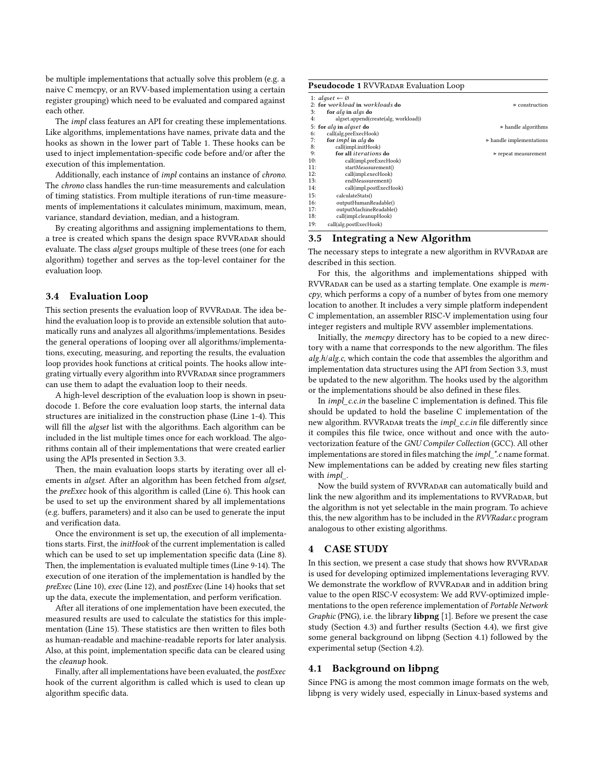be multiple implementations that actually solve this problem (e.g. a naive C memcpy, or an RVV-based implementation using a certain register grouping) which need to be evaluated and compared against each other.

The *impl* class features an API for creating these implementations. Like algorithms, implementations have names, private data and the hooks as shown in the lower part of Table [1.](#page-1-2) These hooks can be used to inject implementation-specific code before and/or after the execution of this implementation.

Additionally, each instance of impl contains an instance of chrono. The chrono class handles the run-time measurements and calculation of timing statistics. From multiple iterations of run-time measurements of implementations it calculates minimum, maximum, mean, variance, standard deviation, median, and a histogram.

By creating algorithms and assigning implementations to them, a tree is created which spans the design space RVVRADAR should evaluate. The class algset groups multiple of these trees (one for each algorithm) together and serves as the top-level container for the evaluation loop.

#### 3.4 Evaluation Loop

This section presents the evaluation loop of RVVRADAR. The idea behind the evaluation loop is to provide an extensible solution that automatically runs and analyzes all algorithms/implementations. Besides the general operations of looping over all algorithms/implementations, executing, measuring, and reporting the results, the evaluation loop provides hook functions at critical points. The hooks allow integrating virtually every algorithm into RVVRADAR since programmers can use them to adapt the evaluation loop to their needs.

A high-level description of the evaluation loop is shown in pseudocode [1.](#page-2-0) Before the core evaluation loop starts, the internal data structures are initialized in the construction phase (Line [1-4\)](#page-2-0). This will fill the algset list with the algorithms. Each algorithm can be included in the list multiple times once for each workload. The algorithms contain all of their implementations that were created earlier using the APIs presented in Section [3.3.](#page-1-3)

Then, the main evaluation loops starts by iterating over all elements in algset. After an algorithm has been fetched from algset, the preExec hook of this algorithm is called (Line [6\)](#page-2-0). This hook can be used to set up the environment shared by all implementations (e.g. buffers, parameters) and it also can be used to generate the input and verification data.

Once the environment is set up, the execution of all implementations starts. First, the initHook of the current implementation is called which can be used to set up implementation specific data (Line [8\)](#page-2-0). Then, the implementation is evaluated multiple times (Line [9-14\)](#page-2-0). The execution of one iteration of the implementation is handled by the preExec (Line [10\)](#page-2-0), exec (Line [12\)](#page-2-0), and postExec (Line [14\)](#page-2-0) hooks that set up the data, execute the implementation, and perform verification.

After all iterations of one implementation have been executed, the measured results are used to calculate the statistics for this implementation (Line [15\)](#page-2-0). These statistics are then written to files both as human-readable and machine-readable reports for later analysis. Also, at this point, implementation specific data can be cleared using the cleanup hook.

Finally, after all implementations have been evaluated, the *postExec* hook of the current algorithm is called which is used to clean up algorithm specific data.

#### <span id="page-2-0"></span>Pseudocode 1 RVVRADAR Evaluation Loop

|            | 1: algset $\leftarrow \emptyset$<br>2: for workload in workloads do        | $\triangleright$ construction           |
|------------|----------------------------------------------------------------------------|-----------------------------------------|
| 3:<br>4:   | for alg in algs do<br>algset.append(create(alg, workload))                 |                                         |
| 6:         | 5: for alg in algset do<br>call(alg.preExecHook)                           | $\triangleright$ handle algorithms      |
| 7:<br>8:   | for <i>impl</i> in alg do<br>call(impl.initHook)                           | $\triangleright$ handle implementations |
| 9:<br>10:  | for all <i>iterations</i> do<br>call(impl.preExecHook)                     | $\triangleright$ repeat measurement     |
| 11:<br>12: | startMeassurement()<br>call(impl.execHook)                                 |                                         |
| 13:<br>14: | endMeassurement()<br>call(impl.postExecHook)                               |                                         |
| 15:<br>16: | calculateStats()                                                           |                                         |
| 17:<br>18: | outputHumanReadable()<br>outputMachineReadable()<br>call(impl.cleanupHook) |                                         |
| 19:        | call(alg.postExecHook)                                                     |                                         |

#### <span id="page-2-2"></span>3.5 Integrating a New Algorithm

The necessary steps to integrate a new algorithm in RVVRADAR are described in this section.

For this, the algorithms and implementations shipped with RVVRADAR can be used as a starting template. One example is mem $cpy$ , which performs a copy of a number of bytes from one memory location to another. It includes a very simple platform independent C implementation, an assembler RISC-V implementation using four integer registers and multiple RVV assembler implementations.

Initially, the memcpy directory has to be copied to a new directory with a name that corresponds to the new algorithm. The files alg.h/alg.c, which contain the code that assembles the algorithm and implementation data structures using the API from Section [3.3,](#page-1-3) must be updated to the new algorithm. The hooks used by the algorithm or the implementations should be also defined in these files.

In impl\_c.c.in the baseline C implementation is defined. This file should be updated to hold the baseline C implementation of the new algorithm. RVVRADAR treats the impl\_c.c.in file differently since it compiles this file twice, once without and once with the autovectorization feature of the GNU Compiler Collection (GCC). All other implementations are stored in files matching the impl\_\*.c name format. New implementations can be added by creating new files starting with *impl\_*.

Now the build system of RVVRADAR can automatically build and link the new algorithm and its implementations to RVVRADAR, but the algorithm is not yet selectable in the main program. To achieve this, the new algorithm has to be included in the RVVRadar.c program analogous to other existing algorithms.

## 4 CASE STUDY

In this section, we present a case study that shows how RVVRADAR is used for developing optimized implementations leveraging RVV. We demonstrate the workflow of RVVRADAR and in addition bring value to the open RISC-V ecosystem: We add RVV-optimized implementations to the open reference implementation of Portable Network Graphic (PNG), i.e. the library libpng [\[1\]](#page-4-12). Before we present the case study (Section [4.3\)](#page-3-0) and further results (Section [4.4\)](#page-4-13), we first give some general background on libpng (Section [4.1\)](#page-2-1) followed by the experimental setup (Section [4.2\)](#page-3-1).

## <span id="page-2-1"></span>4.1 Background on libpng

Since PNG is among the most common image formats on the web, libpng is very widely used, especially in Linux-based systems and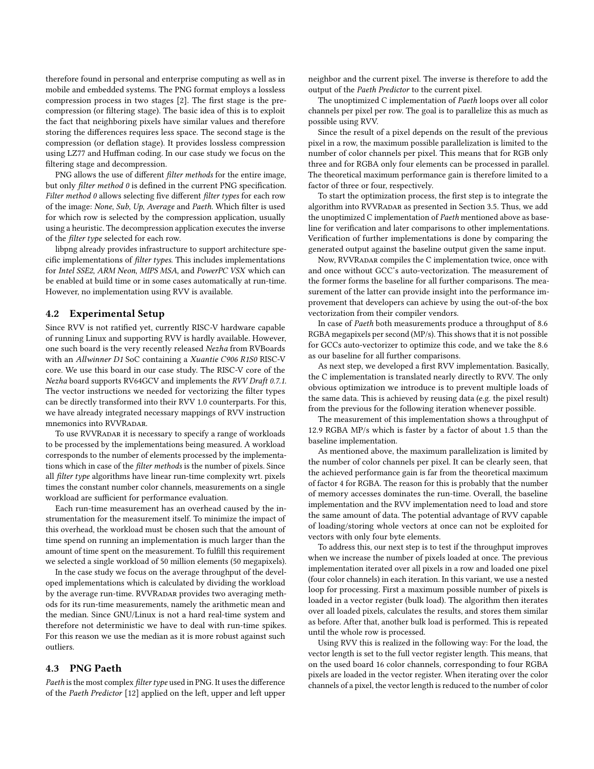therefore found in personal and enterprise computing as well as in mobile and embedded systems. The PNG format employs a lossless compression process in two stages [\[2\]](#page-4-14). The first stage is the precompression (or filtering stage). The basic idea of this is to exploit the fact that neighboring pixels have similar values and therefore storing the differences requires less space. The second stage is the compression (or deflation stage). It provides lossless compression using LZ77 and Huffman coding. In our case study we focus on the filtering stage and decompression.

PNG allows the use of different *filter methods* for the entire image, but only filter method 0 is defined in the current PNG specification. Filter method 0 allows selecting five different filter types for each row of the image: None, Sub, Up, Average and Paeth. Which filter is used for which row is selected by the compression application, usually using a heuristic. The decompression application executes the inverse of the filter type selected for each row.

libpng already provides infrastructure to support architecture specific implementations of filter types. This includes implementations for Intel SSE2, ARM Neon, MIPS MSA, and PowerPC VSX which can be enabled at build time or in some cases automatically at run-time. However, no implementation using RVV is available.

## <span id="page-3-1"></span>4.2 Experimental Setup

Since RVV is not ratified yet, currently RISC-V hardware capable of running Linux and supporting RVV is hardly available. However, one such board is the very recently released Nezha from RVBoards with an Allwinner D1 SoC containing a Xuantie C906 R1S0 RISC-V core. We use this board in our case study. The RISC-V core of the Nezha board supports RV64GCV and implements the RVV Draft 0.7.1. The vector instructions we needed for vectorizing the filter types can be directly transformed into their RVV 1.0 counterparts. For this, we have already integrated necessary mappings of RVV instruction mnemonics into RVVRADAR.

To use RVVRADAR it is necessary to specify a range of workloads to be processed by the implementations being measured. A workload corresponds to the number of elements processed by the implementations which in case of the filter methods is the number of pixels. Since all filter type algorithms have linear run-time complexity wrt. pixels times the constant number color channels, measurements on a single workload are sufficient for performance evaluation.

Each run-time measurement has an overhead caused by the instrumentation for the measurement itself. To minimize the impact of this overhead, the workload must be chosen such that the amount of time spend on running an implementation is much larger than the amount of time spent on the measurement. To fulfill this requirement we selected a single workload of 50 million elements (50 megapixels).

In the case study we focus on the average throughput of the developed implementations which is calculated by dividing the workload by the average run-time. RVVRADAR provides two averaging methods for its run-time measurements, namely the arithmetic mean and the median. Since GNU/Linux is not a hard real-time system and therefore not deterministic we have to deal with run-time spikes. For this reason we use the median as it is more robust against such outliers.

#### <span id="page-3-0"></span>4.3 PNG Paeth

Paeth is the most complex filter type used in PNG. It uses the difference of the Paeth Predictor [\[12\]](#page-4-15) applied on the left, upper and left upper neighbor and the current pixel. The inverse is therefore to add the output of the Paeth Predictor to the current pixel.

The unoptimized C implementation of Paeth loops over all color channels per pixel per row. The goal is to parallelize this as much as possible using RVV.

Since the result of a pixel depends on the result of the previous pixel in a row, the maximum possible parallelization is limited to the number of color channels per pixel. This means that for RGB only three and for RGBA only four elements can be processed in parallel. The theoretical maximum performance gain is therefore limited to a factor of three or four, respectively.

To start the optimization process, the first step is to integrate the algorithm into RVVRADAR as presented in Section [3.5.](#page-2-2) Thus, we add the unoptimized C implementation of Paeth mentioned above as baseline for verification and later comparisons to other implementations. Verification of further implementations is done by comparing the generated output against the baseline output given the same input.

Now, RVVRADAR compiles the C implementation twice, once with and once without GCC's auto-vectorization. The measurement of the former forms the baseline for all further comparisons. The measurement of the latter can provide insight into the performance improvement that developers can achieve by using the out-of-the box vectorization from their compiler vendors.

In case of Paeth both measurements produce a throughput of 8.6 RGBA megapixels per second (MP/s). This shows that it is not possible for GCCs auto-vectorizer to optimize this code, and we take the 8.6 as our baseline for all further comparisons.

As next step, we developed a first RVV implementation. Basically, the C implementation is translated nearly directly to RVV. The only obvious optimization we introduce is to prevent multiple loads of the same data. This is achieved by reusing data (e.g. the pixel result) from the previous for the following iteration whenever possible.

The measurement of this implementation shows a throughput of 12.9 RGBA MP/s which is faster by a factor of about 1.5 than the baseline implementation.

As mentioned above, the maximum parallelization is limited by the number of color channels per pixel. It can be clearly seen, that the achieved performance gain is far from the theoretical maximum of factor 4 for RGBA. The reason for this is probably that the number of memory accesses dominates the run-time. Overall, the baseline implementation and the RVV implementation need to load and store the same amount of data. The potential advantage of RVV capable of loading/storing whole vectors at once can not be exploited for vectors with only four byte elements.

To address this, our next step is to test if the throughput improves when we increase the number of pixels loaded at once. The previous implementation iterated over all pixels in a row and loaded one pixel (four color channels) in each iteration. In this variant, we use a nested loop for processing. First a maximum possible number of pixels is loaded in a vector register (bulk load). The algorithm then iterates over all loaded pixels, calculates the results, and stores them similar as before. After that, another bulk load is performed. This is repeated until the whole row is processed.

Using RVV this is realized in the following way: For the load, the vector length is set to the full vector register length. This means, that on the used board 16 color channels, corresponding to four RGBA pixels are loaded in the vector register. When iterating over the color channels of a pixel, the vector length is reduced to the number of color